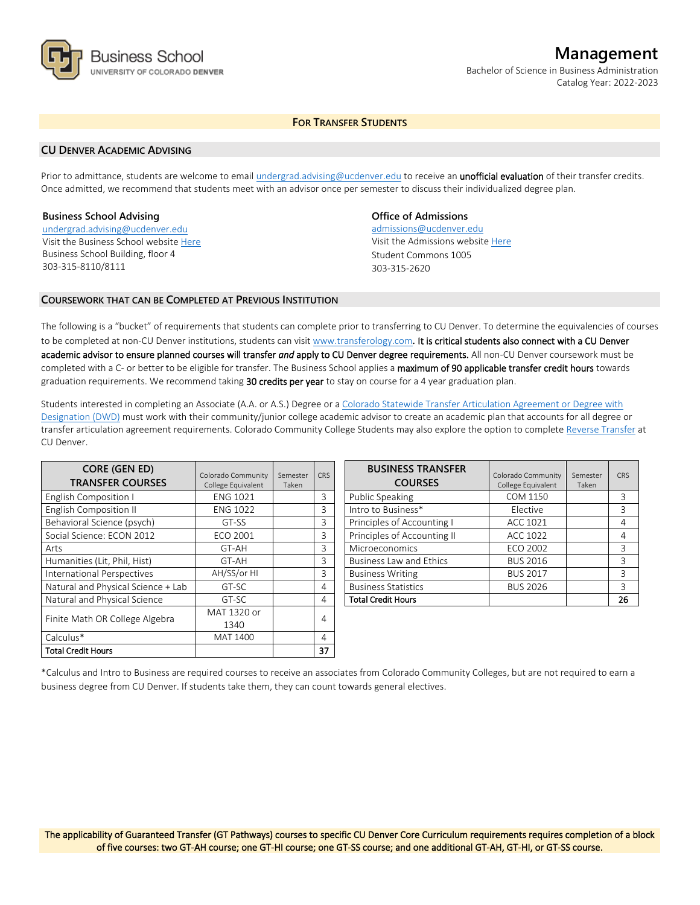

# **Management**

Bachelor of Science in Business Administration Catalog Year: 2022-2023

# **FOR TRANSFER STUDENTS**

### **CU DENVER ACADEMIC ADVISING**

Prior to admittance, students are welcome to email [undergrad.advising@ucdenver.edu](mailto:undergrad.advising@ucdenver.edu) to receive an *unofficial evaluation* of their transfer credits. Once admitted, we recommend that students meet with an advisor once per semester to discuss their individualized degree plan.

### **Business School Advising**

[undergrad.advising@ucdenver.edu](mailto:undergrad.advising@ucdenver.edu) Visit the Business School websit[e Here](http://www.ucdenver.edu/academics/colleges/business/Pages/business-school.aspx)  Business School Building, floor 4 303-315-8110/8111

# **Office of Admissions**

admissions@ucdenver.edu Visit the Admissions website [Here](http://www.ucdenver.edu/admissions/) Student Commons 1005 303-315-2620

## **COURSEWORK THAT CAN BE COMPLETED AT PREVIOUS INSTITUTION**

The following is a "bucket" of requirements that students can complete prior to transferring to CU Denver. To determine the equivalencies of courses to be completed at non-CU Denver institutions, students can visit [www.transferology.com](http://www.transferology.com/)**.** It is critical students also connect with a CU Denver academic advisor to ensure planned courses will transfer *and* apply to CU Denver degree requirements. All non-CU Denver coursework must be completed with a C- or better to be eligible for transfer. The Business School applies a maximum of 90 applicable transfer credit hours towards graduation requirements. We recommend taking 30 credits per year to stay on course for a 4 year graduation plan.

Students interested in completing an Associate (A.A. or A.S.) Degree or a [Colorado Statewide Transfer Articulation Agreement or Degree with](https://highered.colorado.gov/Academics/Transfers/TransferDegrees.html)  [Designation \(DWD\)](https://highered.colorado.gov/Academics/Transfers/TransferDegrees.html) must work with their community/junior college academic advisor to create an academic plan that accounts for all degree or transfer articulation agreement requirements. Colorado Community College Students may also explore the option to complet[e Reverse Transfer](https://degreewithinreach.wordpress.com/) at CU Denver.

| <b>CORE (GEN ED)</b><br><b>TRANSFER COURSES</b> | Colorado Community<br>College Equivalent | Semester<br>Taken | <b>CRS</b> |
|-------------------------------------------------|------------------------------------------|-------------------|------------|
| <b>English Composition I</b>                    | <b>ENG 1021</b>                          |                   | 3          |
| <b>English Composition II</b>                   | <b>ENG 1022</b>                          |                   | 3          |
| Behavioral Science (psych)                      | GT-SS                                    |                   | 3          |
| Social Science: ECON 2012                       | <b>ECO 2001</b>                          |                   | 3          |
| Arts                                            | GT-AH                                    |                   | 3          |
| Humanities (Lit, Phil, Hist)                    | GT-AH                                    |                   | 3          |
| International Perspectives                      | AH/SS/or HI                              |                   | 3          |
| Natural and Physical Science + Lab              | GT-SC                                    |                   | 4          |
| Natural and Physical Science                    | GT-SC                                    |                   | 4          |
| Finite Math OR College Algebra                  | MAT 1320 or                              |                   |            |
|                                                 | 1340                                     |                   | 4          |
| Calculus*                                       | MAT 1400                                 |                   | 4          |
| Total Credit Hours                              |                                          |                   | 37         |

| <b>BUSINESS TRANSFER</b><br><b>COURSES</b> | Colorado Community<br>College Equivalent | Semester<br>Taken | CRS |
|--------------------------------------------|------------------------------------------|-------------------|-----|
| Public Speaking                            | COM 1150                                 |                   | 3   |
| Intro to Business*                         | Elective                                 |                   | 3   |
| Principles of Accounting I                 | ACC 1021                                 |                   | 4   |
| Principles of Accounting II                | ACC 1022                                 |                   | 4   |
| Microeconomics                             | ECO 2002                                 |                   | 3   |
| <b>Business Law and Ethics</b>             | <b>BUS 2016</b>                          |                   | 3   |
| <b>Business Writing</b>                    | <b>BUS 2017</b>                          |                   | ς   |
| <b>Business Statistics</b>                 | <b>BUS 2026</b>                          |                   | 3   |
| <b>Total Credit Hours</b>                  |                                          |                   | 26  |

\*Calculus and Intro to Business are required courses to receive an associates from Colorado Community Colleges, but are not required to earn a business degree from CU Denver. If students take them, they can count towards general electives.